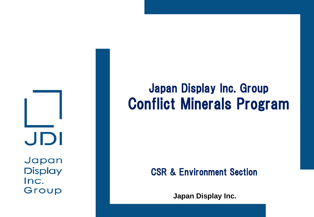JDI

Japan **Display** Inc. Group

# Japan Display Inc. Group Conflict Minerals Program

### CSR & Environment Section

**Japan Display Inc.**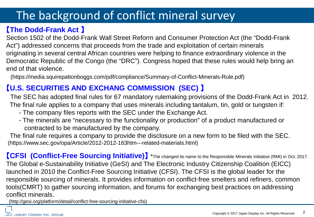### The background of conflict mineral survey

#### 【**The Dodd-Frank Act** 】

Section 1502 of the Dodd-Frank Wall Street Reform and Consumer Protection Act (the "Dodd-Frank Act") addressed concerns that proceeds from the trade and exploitation of certain minerals originating in several central African countries were helping to finance extraordinary violence in the Democratic Republic of the Congo (the "DRC"). Congress hoped that these rules would help bring an end of that violence.

(https://media.squirepattonboggs.com/pdf/compliance/Summary-of-Conflict-Minerals-Rule.pdf)

#### 【**U.S. SECURITIES AND EXCHANG COMMISSION (SEC)** 】

The SEC has adopted final rules for 67 mandatory rulemaking provisions of the Dodd-Frank Act in 2012. The final rule applies to a company that uses minerals including tantalum, tin, gold or tungsten if:

- The company files reports with the SEC under the Exchange Act.
- The minerals are "necessary to the functionality or production" of a product manufactured or contracted to be manufactured by the company.

 The final rule requires a company to provide the disclosure on a new form to be filed with the SEC. (https://www.sec.gov/opa/Article/2012-2012-163htm---related-materials.html)

【**CFSI (Conflict-Free Sourcing Initiative)**】 \*The changed its name to the Responsible Minerals Initiative (RMI) in Oct. 2017. The Global e-Sustainability Initiative (GeSI) and The Electronic Industry Citizenship Coalition (EICC) launched in 2010 the Conflict-Free Sourcing Initiative (CFSI). The CFSI is the global leader for the responsible sourcing of minerals. It provides information on conflict-free smelters and refiners, common tools(CMRT) to gather sourcing information, and forums for exchanging best practices on addressing conflict minerals. (http://gesi.org/platform/detail/conflict-free-sourcing-initiative-cfsi)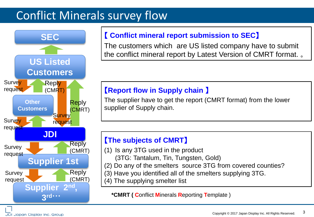### Conflict Minerals survey flow



#### 【 **Conflict mineral report submission to SEC**】

The customers which are US listed company have to submit the conflict mineral report by Latest Version of CMRT format. 。

#### 【**Report flow in Supply chain** 】

The supplier have to get the report (CMRT format) from the lower supplier of Supply chain.

#### 【**The subjects of CMRT**】

- (1) Is any 3TG used in the product
	- (3TG: Tantalum, Tin, Tungsten, Gold)
- (2) Do any of the smelters source 3TG from covered counties?
- (3) Have you identified all of the smelters supplying 3TG.
- (4) The supplying smelter list

**\*CMRT ( C**onflict **M**inerals **R**eporting **T**emplate )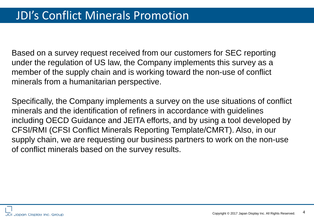Based on a survey request received from our customers for SEC reporting under the regulation of US law, the Company implements this survey as a member of the supply chain and is working toward the non-use of conflict minerals from a humanitarian perspective.

Specifically, the Company implements a survey on the use situations of conflict minerals and the identification of refiners in accordance with guidelines including OECD Guidance and JEITA efforts, and by using a tool developed by CFSI/RMI (CFSI Conflict Minerals Reporting Template/CMRT). Also, in our supply chain, we are requesting our business partners to work on the non-use of conflict minerals based on the survey results.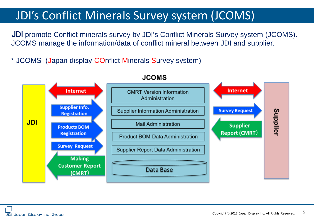### JDI's Conflict Minerals Survey system (JCOMS)

JDI promote Conflict minerals survey by JDI's Conflict Minerals Survey system (JCOMS). JCOMS manage the information/data of conflict mineral between JDI and supplier.

\* JCOMS (Japan display COnflict Minerals Survey system)



#### **JCOMS**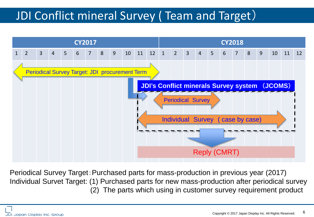## JDI Conflict mineral Survey ( Team and Target)



Periodical Survey Target: Purchased parts for mass-production in previous year (2017) Individual Survet Target: (1) Purchased parts for new mass-production after periodical survey (2) The parts which using in customer survey requirement product